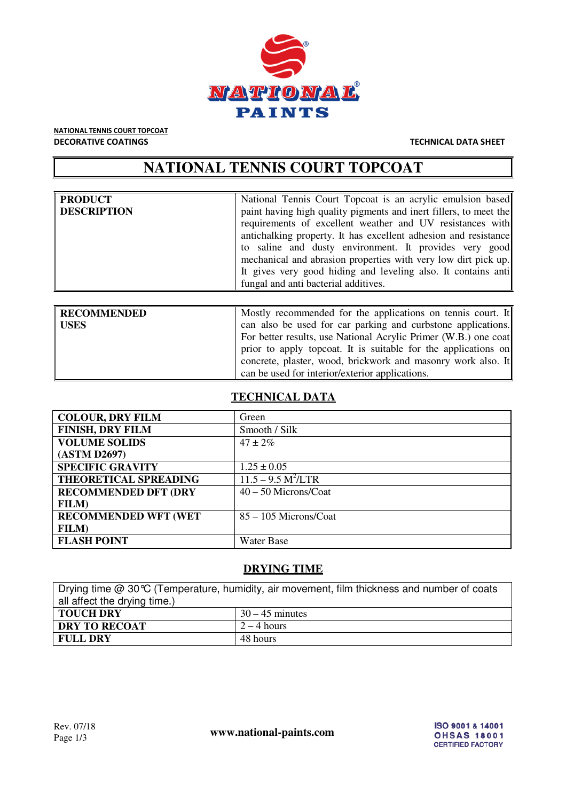

NATIONAL TENNIS COURT TOPCOAT DECORATIVE COATINGS TECHNICAL DATA SHEET

# **NATIONAL TENNIS COURT TOPCOAT**

| PRODUCT     | National Tennis Court Topcoat is an acrylic emulsion based        |
|-------------|-------------------------------------------------------------------|
| DESCRIPTION | paint having high quality pigments and inert fillers, to meet the |
|             | requirements of excellent weather and UV resistances with         |
|             | antichalking property. It has excellent adhesion and resistance   |
|             | to saline and dusty environment. It provides very good            |
|             | mechanical and abrasion properties with very low dirt pick up.    |
|             | It gives very good hiding and leveling also. It contains anti     |
|             | fungal and anti bacterial additives.                              |
|             |                                                                   |

| <b>RECOMMENDED</b> | Mostly recommended for the applications on tennis court. It     |
|--------------------|-----------------------------------------------------------------|
| <b>USES</b>        | can also be used for car parking and curbstone applications.    |
|                    | For better results, use National Acrylic Primer (W.B.) one coat |
|                    | prior to apply topcoat. It is suitable for the applications on  |
|                    | concrete, plaster, wood, brickwork and masonry work also. It    |
|                    | can be used for interior/exterior applications.                 |

### **TECHNICAL DATA**

| <b>COLOUR, DRY FILM</b>      | Green                   |
|------------------------------|-------------------------|
| <b>FINISH, DRY FILM</b>      | Smooth / Silk           |
| <b>VOLUME SOLIDS</b>         | $47 \pm 2\%$            |
| (ASTM D2697)                 |                         |
| <b>SPECIFIC GRAVITY</b>      | $1.25 \pm 0.05$         |
| THEORETICAL SPREADING        | $11.5 - 9.5 M^2 / LTR$  |
| <b>RECOMMENDED DFT (DRY</b>  | $40 - 50$ Microns/Coat  |
| <b>FILM</b> )                |                         |
| <b>RECOMMENDED WFT (WET)</b> | $85 - 105$ Microns/Coat |
| <b>FILM</b> )                |                         |
| <b>FLASH POINT</b>           | <b>Water Base</b>       |

### **DRYING TIME**

| Drying time @ 30℃ (Temperature, humidity, air movement, film thickness and number of coats |                   |  |
|--------------------------------------------------------------------------------------------|-------------------|--|
| all affect the drying time.)                                                               |                   |  |
| TOUCH DRY                                                                                  | $30 - 45$ minutes |  |
| <b>DRY TO RECOAT</b>                                                                       | $2 - 4$ hours     |  |
| FULL DRY                                                                                   | 48 hours          |  |

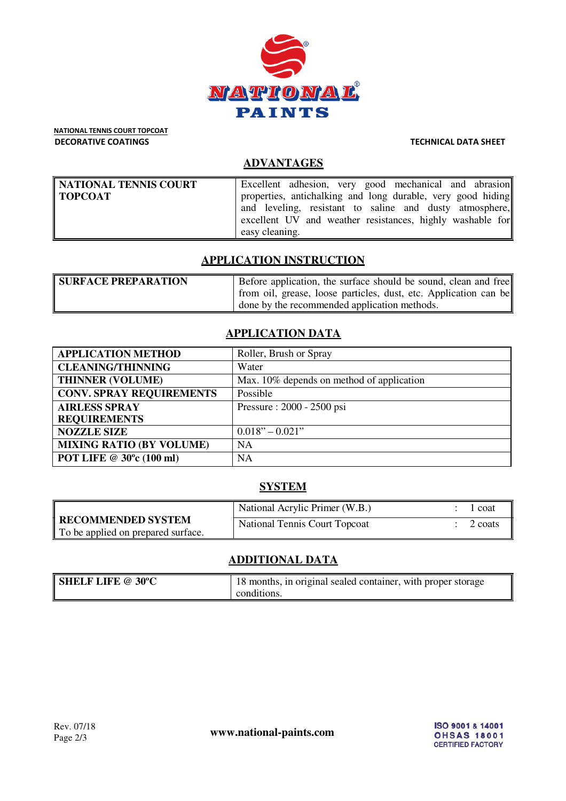

NATIONAL TENNIS COURT TOPCOAT DECORATIVE COATINGS TECHNICAL DATA SHEET

## **ADVANTAGES**

| NATIONAL TENNIS COURT | Excellent adhesion, very good mechanical and abrasion       |
|-----------------------|-------------------------------------------------------------|
| TOPCOAT               | properties, antichalking and long durable, very good hiding |
|                       | and leveling, resistant to saline and dusty atmosphere,     |
|                       | excellent UV and weather resistances, highly washable for   |
|                       | easy cleaning.                                              |

#### **APPLICATION INSTRUCTION**

| <b>SURFACE PREPARATION</b> | Before application, the surface should be sound, clean and free  |
|----------------------------|------------------------------------------------------------------|
|                            | from oil, grease, loose particles, dust, etc. Application can be |
|                            | done by the recommended application methods.                     |

# **APPLICATION DATA**

| <b>APPLICATION METHOD</b>       | Roller, Brush or Spray                    |
|---------------------------------|-------------------------------------------|
| <b>CLEANING/THINNING</b>        | Water                                     |
| <b>THINNER (VOLUME)</b>         | Max. 10% depends on method of application |
| <b>CONV. SPRAY REQUIREMENTS</b> | Possible                                  |
| <b>AIRLESS SPRAY</b>            | Pressure: 2000 - 2500 psi                 |
| <b>REQUIREMENTS</b>             |                                           |
| <b>NOZZLE SIZE</b>              | $0.018" - 0.021"$                         |
| <b>MIXING RATIO (BY VOLUME)</b> | <b>NA</b>                                 |
| POT LIFE @ 30°c (100 ml)        | <b>NA</b>                                 |

# **SYSTEM**

|                                                                  | National Acrylic Primer (W.B.)       | coat    |
|------------------------------------------------------------------|--------------------------------------|---------|
| <b>TRECOMMENDED SYSTEM</b><br>To be applied on prepared surface. | <b>National Tennis Court Topcoat</b> | 2 coats |

# **ADDITIONAL DATA**

| <b>SHELF LIFE @ 30°C</b> | 18 months, in original sealed container, with proper storage |
|--------------------------|--------------------------------------------------------------|
|                          | conditions.                                                  |